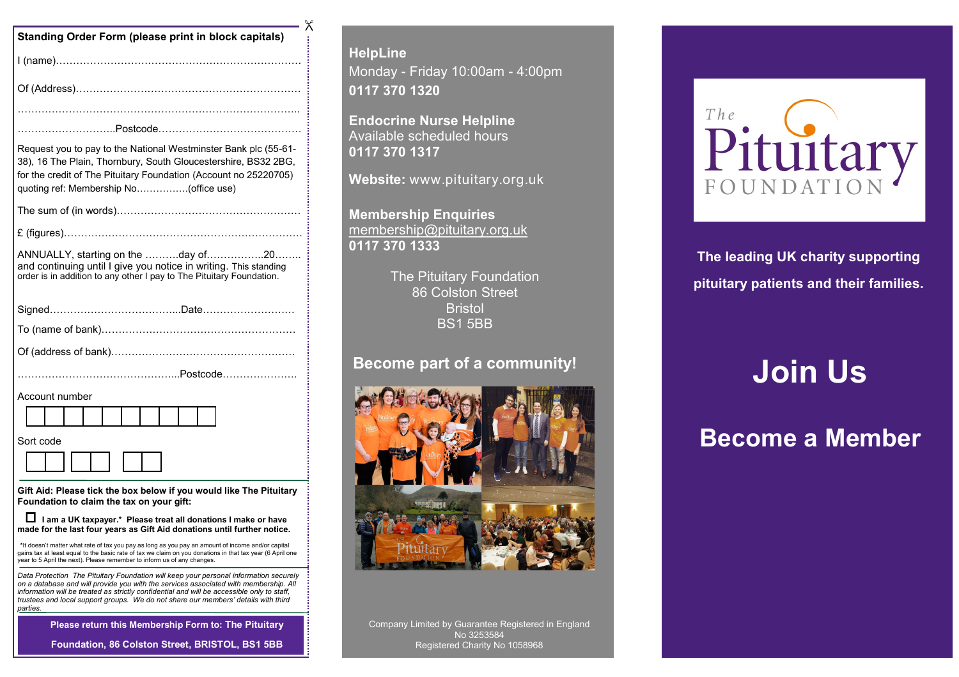| <b>Standing Order Form (please print in block capitals)</b>                                                                                                                                                                                                                                                                                                                   |
|-------------------------------------------------------------------------------------------------------------------------------------------------------------------------------------------------------------------------------------------------------------------------------------------------------------------------------------------------------------------------------|
|                                                                                                                                                                                                                                                                                                                                                                               |
|                                                                                                                                                                                                                                                                                                                                                                               |
|                                                                                                                                                                                                                                                                                                                                                                               |
|                                                                                                                                                                                                                                                                                                                                                                               |
| Request you to pay to the National Westminster Bank plc (55-61-<br>38), 16 The Plain, Thornbury, South Gloucestershire, BS32 2BG,<br>for the credit of The Pituitary Foundation (Account no 25220705)<br>quoting ref: Membership No(office use)                                                                                                                               |
|                                                                                                                                                                                                                                                                                                                                                                               |
|                                                                                                                                                                                                                                                                                                                                                                               |
| ANNUALLY, starting on the day of20<br>and continuing until I give you notice in writing. This standing<br>order is in addition to any other I pay to The Pituitary Foundation.                                                                                                                                                                                                |
|                                                                                                                                                                                                                                                                                                                                                                               |
|                                                                                                                                                                                                                                                                                                                                                                               |
|                                                                                                                                                                                                                                                                                                                                                                               |
|                                                                                                                                                                                                                                                                                                                                                                               |
| Account number                                                                                                                                                                                                                                                                                                                                                                |
|                                                                                                                                                                                                                                                                                                                                                                               |
| Sort code                                                                                                                                                                                                                                                                                                                                                                     |
|                                                                                                                                                                                                                                                                                                                                                                               |
| Gift Aid: Please tick the box below if you would like The Pituitary<br>Foundation to claim the tax on your gift:                                                                                                                                                                                                                                                              |
| □ I am a UK taxpayer.* Please treat all donations I make or have<br>made for the last four years as Gift Aid donations until further notice.                                                                                                                                                                                                                                  |
| *It doesn't matter what rate of tax you pay as long as you pay an amount of income and/or capital<br>gains tax at least equal to the basic rate of tax we claim on you donations in that tax year (6 April one<br>year to 5 April the next). Please remember to inform us of any changes.                                                                                     |
| Data Protection The Pituitary Foundation will keep your personal information securely<br>on a database and will provide you with the services associated with membership. All<br>information will be treated as strictly confidential and will be accessible only to staff,<br>trustees and local support groups. We do not share our members' details with third<br>parties. |
| Please return this Membership Form to: The Pituitary                                                                                                                                                                                                                                                                                                                          |
| Foundation, 86 Colston Street, BRISTOL, BS1 5BB                                                                                                                                                                                                                                                                                                                               |

**HelpLine** Monday - Friday 10:00am - 4:00pm **0117 370 1320**

**Endocrine Nurse Helpline** Available scheduled hours **0117 370 1317**

 $\times$ 

**Website:** www.pituitary.org.uk

**Membership Enquiries** membership@pituitary.org.uk **0117 370 1333**

> The Pituitary Foundation 86 Colston Street **Bristol** BS1 5BB

#### **Become part of a community!**



Company Limited by Guarantee Registered in England No 3253584 Registered Charity No 1058968



**The leading UK charity supporting pituitary patients and their families.**

# **Join Us**

## **Become a Member**